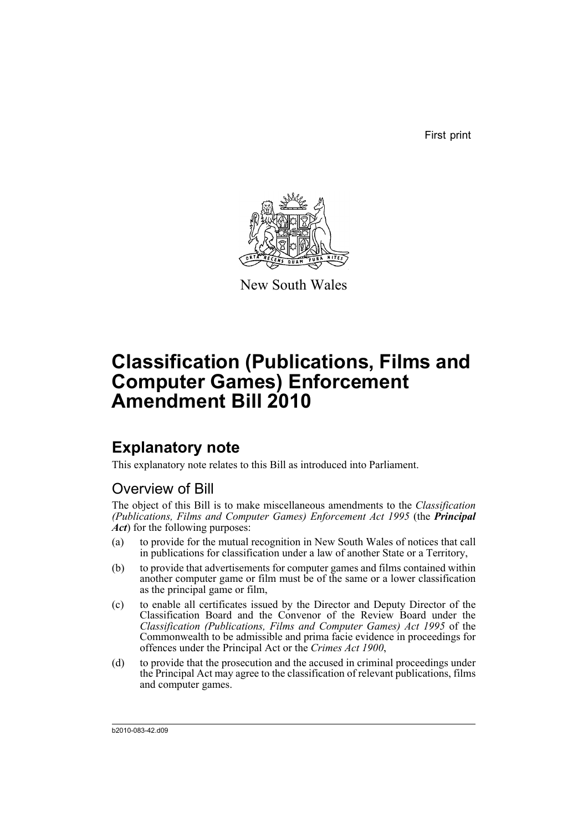First print



New South Wales

# **Classification (Publications, Films and Computer Games) Enforcement Amendment Bill 2010**

# **Explanatory note**

This explanatory note relates to this Bill as introduced into Parliament.

## Overview of Bill

The object of this Bill is to make miscellaneous amendments to the *Classification (Publications, Films and Computer Games) Enforcement Act 1995* (the *Principal Act*) for the following purposes:

- (a) to provide for the mutual recognition in New South Wales of notices that call in publications for classification under a law of another State or a Territory,
- (b) to provide that advertisements for computer games and films contained within another computer game or film must be of the same or a lower classification as the principal game or film,
- (c) to enable all certificates issued by the Director and Deputy Director of the Classification Board and the Convenor of the Review Board under the *Classification (Publications, Films and Computer Games) Act 1995* of the Commonwealth to be admissible and prima facie evidence in proceedings for offences under the Principal Act or the *Crimes Act 1900*,
- (d) to provide that the prosecution and the accused in criminal proceedings under the Principal Act may agree to the classification of relevant publications, films and computer games.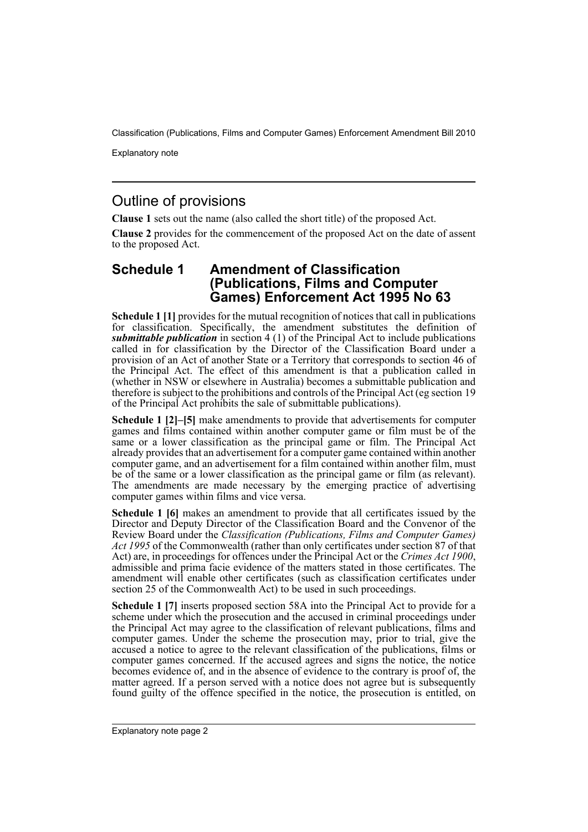Explanatory note

## Outline of provisions

**Clause 1** sets out the name (also called the short title) of the proposed Act.

**Clause 2** provides for the commencement of the proposed Act on the date of assent to the proposed Act.

### **Schedule 1 Amendment of Classification (Publications, Films and Computer Games) Enforcement Act 1995 No 63**

**Schedule 1 [1]** provides for the mutual recognition of notices that call in publications for classification. Specifically, the amendment substitutes the definition of *submittable publication* in section 4 (1) of the Principal Act to include publications called in for classification by the Director of the Classification Board under a provision of an Act of another State or a Territory that corresponds to section 46 of the Principal Act. The effect of this amendment is that a publication called in (whether in NSW or elsewhere in Australia) becomes a submittable publication and therefore is subject to the prohibitions and controls of the Principal Act (eg section 19 of the Principal Act prohibits the sale of submittable publications).

**Schedule 1 [2]–[5]** make amendments to provide that advertisements for computer games and films contained within another computer game or film must be of the same or a lower classification as the principal game or film. The Principal Act already provides that an advertisement for a computer game contained within another computer game, and an advertisement for a film contained within another film, must be of the same or a lower classification as the principal game or film (as relevant). The amendments are made necessary by the emerging practice of advertising computer games within films and vice versa.

**Schedule 1 [6]** makes an amendment to provide that all certificates issued by the Director and Deputy Director of the Classification Board and the Convenor of the Review Board under the *Classification (Publications, Films and Computer Games) Act 1995* of the Commonwealth (rather than only certificates under section 87 of that Act) are, in proceedings for offences under the Principal Act or the *Crimes Act 1900*, admissible and prima facie evidence of the matters stated in those certificates. The amendment will enable other certificates (such as classification certificates under section 25 of the Commonwealth Act) to be used in such proceedings.

**Schedule 1 [7]** inserts proposed section 58A into the Principal Act to provide for a scheme under which the prosecution and the accused in criminal proceedings under the Principal Act may agree to the classification of relevant publications, films and computer games. Under the scheme the prosecution may, prior to trial, give the accused a notice to agree to the relevant classification of the publications, films or computer games concerned. If the accused agrees and signs the notice, the notice becomes evidence of, and in the absence of evidence to the contrary is proof of, the matter agreed. If a person served with a notice does not agree but is subsequently found guilty of the offence specified in the notice, the prosecution is entitled, on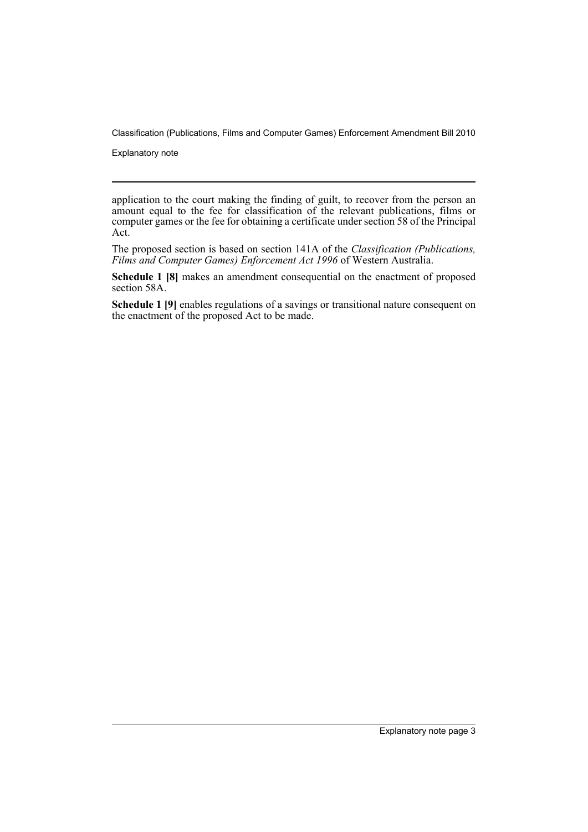Explanatory note

application to the court making the finding of guilt, to recover from the person an amount equal to the fee for classification of the relevant publications, films or computer games or the fee for obtaining a certificate under section 58 of the Principal Act.

The proposed section is based on section 141A of the *Classification (Publications, Films and Computer Games) Enforcement Act 1996* of Western Australia.

**Schedule 1 [8]** makes an amendment consequential on the enactment of proposed section 58A.

**Schedule 1 [9]** enables regulations of a savings or transitional nature consequent on the enactment of the proposed Act to be made.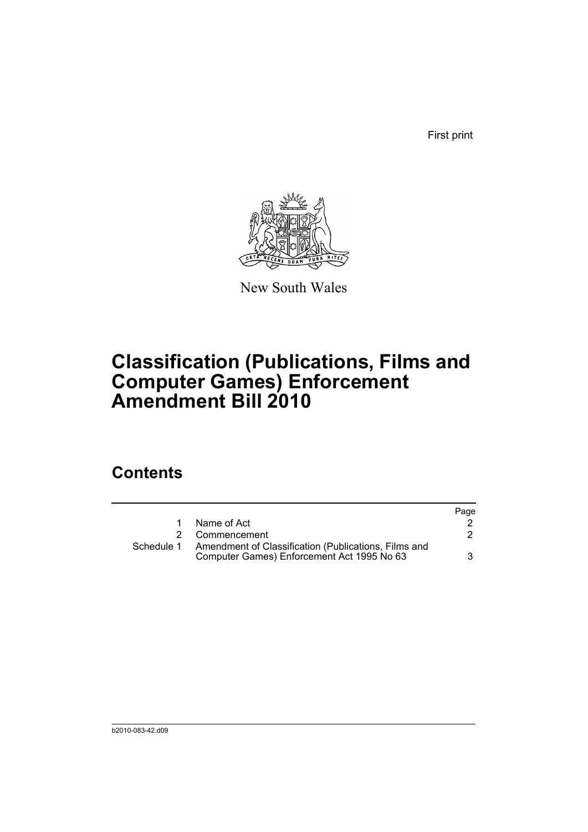First print



New South Wales

# **Classification (Publications, Films and Computer Games) Enforcement Amendment Bill 2010**

# **Contents**

|            |                                                                                                    | Page |
|------------|----------------------------------------------------------------------------------------------------|------|
|            | Name of Act                                                                                        |      |
|            | 2 Commencement                                                                                     |      |
| Schedule 1 | Amendment of Classification (Publications, Films and<br>Computer Games) Enforcement Act 1995 No 63 | 3    |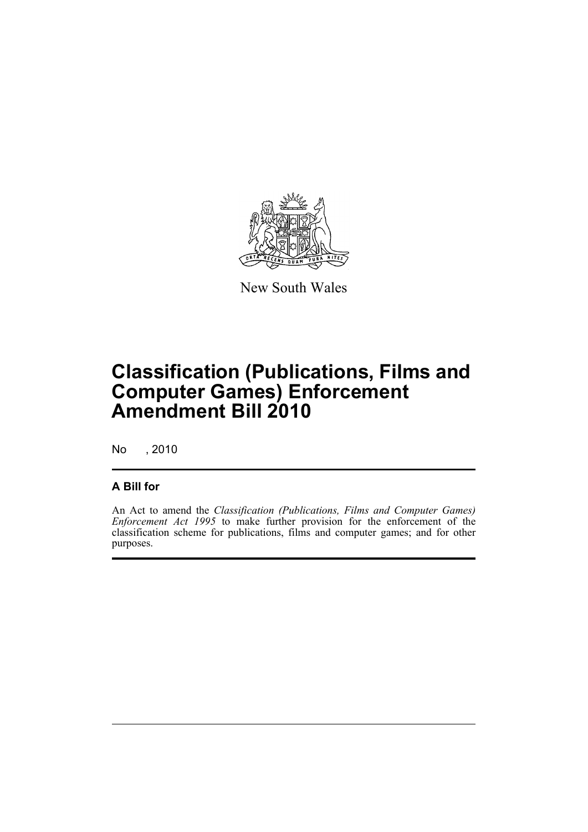

New South Wales

# **Classification (Publications, Films and Computer Games) Enforcement Amendment Bill 2010**

No , 2010

### **A Bill for**

An Act to amend the *Classification (Publications, Films and Computer Games) Enforcement Act 1995* to make further provision for the enforcement of the classification scheme for publications, films and computer games; and for other purposes.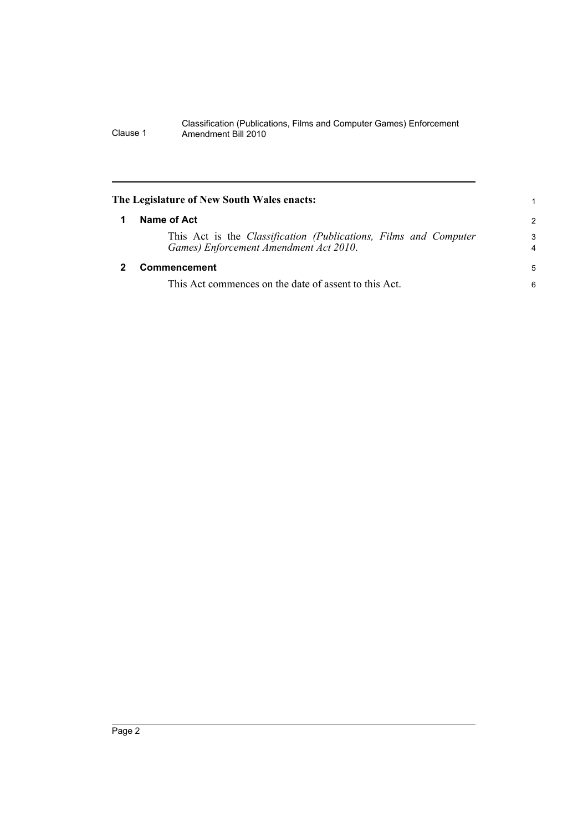<span id="page-7-1"></span><span id="page-7-0"></span>

| The Legislature of New South Wales enacts:                                                                        | 1             |
|-------------------------------------------------------------------------------------------------------------------|---------------|
| Name of Act                                                                                                       | $\mathcal{P}$ |
| This Act is the <i>Classification (Publications, Films and Computer</i><br>Games) Enforcement Amendment Act 2010. | 3<br>4        |
| Commencement                                                                                                      | 5             |
| This Act commences on the date of assent to this Act.                                                             | 6             |
|                                                                                                                   |               |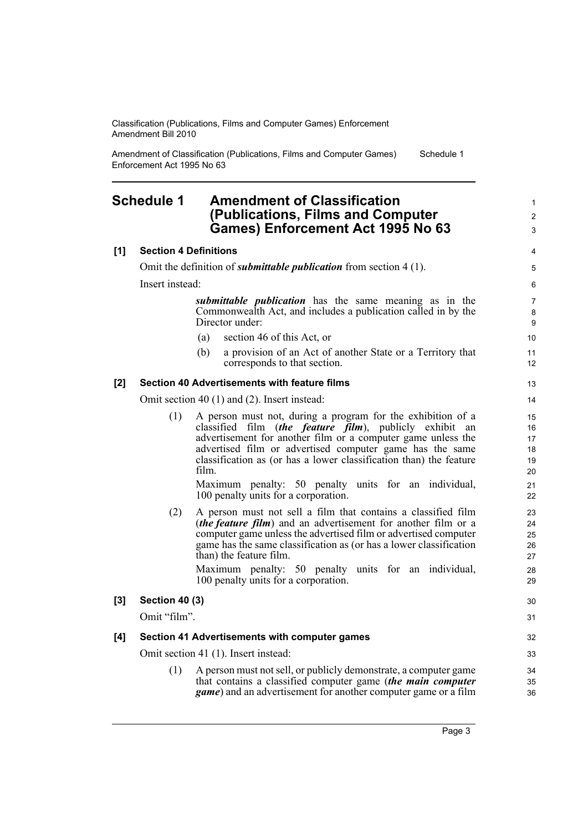Amendment of Classification (Publications, Films and Computer Games) Enforcement Act 1995 No 63 Schedule 1

### <span id="page-8-0"></span>**Schedule 1 Amendment of Classification (Publications, Films and Computer Games) Enforcement Act 1995 No 63**

#### **[1] Section 4 Definitions**

Omit the definition of *submittable publication* from section 4 (1).

Insert instead:

*submittable publication* has the same meaning as in the Commonwealth Act, and includes a publication called in by the Director under:

- (a) section 46 of this Act, or
- (b) a provision of an Act of another State or a Territory that corresponds to that section.

#### **[2] Section 40 Advertisements with feature films**

Omit section 40 (1) and (2). Insert instead:

(1) A person must not, during a program for the exhibition of a classified film (*the feature film*), publicly exhibit an advertisement for another film or a computer game unless the advertised film or advertised computer game has the same classification as (or has a lower classification than) the feature film.

Maximum penalty: 50 penalty units for an individual, 100 penalty units for a corporation.

(2) A person must not sell a film that contains a classified film (*the feature film*) and an advertisement for another film or a computer game unless the advertised film or advertised computer game has the same classification as (or has a lower classification than) the feature film.

|     | Maximum penalty: 50 penalty units for an individual,<br>100 penalty units for a corporation.                                                                                                                     | 28<br>29       |
|-----|------------------------------------------------------------------------------------------------------------------------------------------------------------------------------------------------------------------|----------------|
| [3] | <b>Section 40 (3)</b>                                                                                                                                                                                            | 30             |
|     | Omit "film".                                                                                                                                                                                                     | 31             |
| [4] | Section 41 Advertisements with computer games                                                                                                                                                                    | 32             |
|     | Omit section 41 (1). Insert instead:                                                                                                                                                                             | 33             |
|     | A person must not sell, or publicly demonstrate, a computer game<br>(1)<br>that contains a classified computer game (the main computer<br><i>game</i> ) and an advertisement for another computer game or a film | 34<br>35<br>36 |

1 2 3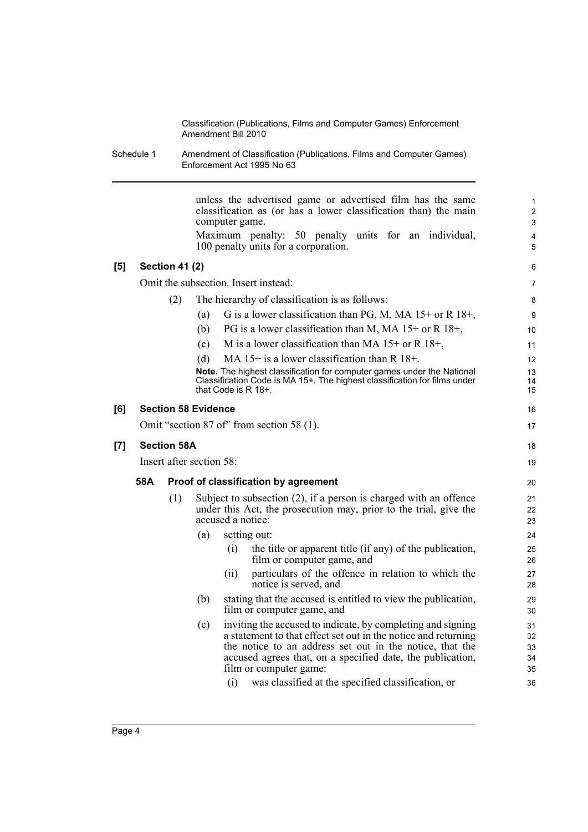Schedule 1 Amendment of Classification (Publications, Films and Computer Games) Enforcement Act 1995 No 63

|                                      |     |                                                |                       |                                                                                        | 1<br>$\overline{2}$<br>3                                                                                                                                                                                                                                                                                                                                                                                                                                                                                                                                                                                                                                                                                                                                                                                                                                                                                                                                                                                                                                                                                                                                                                                                                                                                                                            |  |  |
|--------------------------------------|-----|------------------------------------------------|-----------------------|----------------------------------------------------------------------------------------|-------------------------------------------------------------------------------------------------------------------------------------------------------------------------------------------------------------------------------------------------------------------------------------------------------------------------------------------------------------------------------------------------------------------------------------------------------------------------------------------------------------------------------------------------------------------------------------------------------------------------------------------------------------------------------------------------------------------------------------------------------------------------------------------------------------------------------------------------------------------------------------------------------------------------------------------------------------------------------------------------------------------------------------------------------------------------------------------------------------------------------------------------------------------------------------------------------------------------------------------------------------------------------------------------------------------------------------|--|--|
|                                      |     |                                                |                       |                                                                                        | $\overline{\mathbf{4}}$<br>5                                                                                                                                                                                                                                                                                                                                                                                                                                                                                                                                                                                                                                                                                                                                                                                                                                                                                                                                                                                                                                                                                                                                                                                                                                                                                                        |  |  |
|                                      |     |                                                |                       |                                                                                        | 6                                                                                                                                                                                                                                                                                                                                                                                                                                                                                                                                                                                                                                                                                                                                                                                                                                                                                                                                                                                                                                                                                                                                                                                                                                                                                                                                   |  |  |
| Omit the subsection. Insert instead: |     |                                                |                       |                                                                                        |                                                                                                                                                                                                                                                                                                                                                                                                                                                                                                                                                                                                                                                                                                                                                                                                                                                                                                                                                                                                                                                                                                                                                                                                                                                                                                                                     |  |  |
| (2)                                  |     | The hierarchy of classification is as follows: |                       |                                                                                        | 8                                                                                                                                                                                                                                                                                                                                                                                                                                                                                                                                                                                                                                                                                                                                                                                                                                                                                                                                                                                                                                                                                                                                                                                                                                                                                                                                   |  |  |
|                                      |     | (a)                                            |                       |                                                                                        | 9                                                                                                                                                                                                                                                                                                                                                                                                                                                                                                                                                                                                                                                                                                                                                                                                                                                                                                                                                                                                                                                                                                                                                                                                                                                                                                                                   |  |  |
|                                      |     | (b)                                            |                       |                                                                                        | 10                                                                                                                                                                                                                                                                                                                                                                                                                                                                                                                                                                                                                                                                                                                                                                                                                                                                                                                                                                                                                                                                                                                                                                                                                                                                                                                                  |  |  |
|                                      |     | (c)                                            |                       |                                                                                        | 11                                                                                                                                                                                                                                                                                                                                                                                                                                                                                                                                                                                                                                                                                                                                                                                                                                                                                                                                                                                                                                                                                                                                                                                                                                                                                                                                  |  |  |
|                                      |     | (d)                                            |                       |                                                                                        | 12                                                                                                                                                                                                                                                                                                                                                                                                                                                                                                                                                                                                                                                                                                                                                                                                                                                                                                                                                                                                                                                                                                                                                                                                                                                                                                                                  |  |  |
|                                      |     |                                                |                       |                                                                                        | 13<br>14<br>15                                                                                                                                                                                                                                                                                                                                                                                                                                                                                                                                                                                                                                                                                                                                                                                                                                                                                                                                                                                                                                                                                                                                                                                                                                                                                                                      |  |  |
|                                      |     |                                                |                       |                                                                                        | 16                                                                                                                                                                                                                                                                                                                                                                                                                                                                                                                                                                                                                                                                                                                                                                                                                                                                                                                                                                                                                                                                                                                                                                                                                                                                                                                                  |  |  |
|                                      |     |                                                |                       |                                                                                        | 17                                                                                                                                                                                                                                                                                                                                                                                                                                                                                                                                                                                                                                                                                                                                                                                                                                                                                                                                                                                                                                                                                                                                                                                                                                                                                                                                  |  |  |
| <b>Section 58A</b><br>[7]            |     |                                                |                       |                                                                                        |                                                                                                                                                                                                                                                                                                                                                                                                                                                                                                                                                                                                                                                                                                                                                                                                                                                                                                                                                                                                                                                                                                                                                                                                                                                                                                                                     |  |  |
| Insert after section 58:             |     |                                                |                       |                                                                                        |                                                                                                                                                                                                                                                                                                                                                                                                                                                                                                                                                                                                                                                                                                                                                                                                                                                                                                                                                                                                                                                                                                                                                                                                                                                                                                                                     |  |  |
| 58A                                  |     |                                                |                       |                                                                                        |                                                                                                                                                                                                                                                                                                                                                                                                                                                                                                                                                                                                                                                                                                                                                                                                                                                                                                                                                                                                                                                                                                                                                                                                                                                                                                                                     |  |  |
|                                      | (1) |                                                |                       |                                                                                        | 21<br>22<br>23                                                                                                                                                                                                                                                                                                                                                                                                                                                                                                                                                                                                                                                                                                                                                                                                                                                                                                                                                                                                                                                                                                                                                                                                                                                                                                                      |  |  |
|                                      |     | (a)                                            |                       |                                                                                        | 24                                                                                                                                                                                                                                                                                                                                                                                                                                                                                                                                                                                                                                                                                                                                                                                                                                                                                                                                                                                                                                                                                                                                                                                                                                                                                                                                  |  |  |
|                                      |     |                                                | (i)                   | the title or apparent title (if any) of the publication,<br>film or computer game, and | 25<br>26                                                                                                                                                                                                                                                                                                                                                                                                                                                                                                                                                                                                                                                                                                                                                                                                                                                                                                                                                                                                                                                                                                                                                                                                                                                                                                                            |  |  |
|                                      |     |                                                | (i)                   | particulars of the offence in relation to which the<br>notice is served, and           | 27<br>28                                                                                                                                                                                                                                                                                                                                                                                                                                                                                                                                                                                                                                                                                                                                                                                                                                                                                                                                                                                                                                                                                                                                                                                                                                                                                                                            |  |  |
|                                      |     | (b)                                            |                       |                                                                                        | 29<br>30                                                                                                                                                                                                                                                                                                                                                                                                                                                                                                                                                                                                                                                                                                                                                                                                                                                                                                                                                                                                                                                                                                                                                                                                                                                                                                                            |  |  |
|                                      |     | (c)                                            | (i)                   | was classified at the specified classification, or                                     | 31<br>32<br>33<br>34<br>35<br>36                                                                                                                                                                                                                                                                                                                                                                                                                                                                                                                                                                                                                                                                                                                                                                                                                                                                                                                                                                                                                                                                                                                                                                                                                                                                                                    |  |  |
|                                      |     |                                                | <b>Section 41 (2)</b> | <b>Section 58 Evidence</b>                                                             | unless the advertised game or advertised film has the same<br>classification as (or has a lower classification than) the main<br>computer game.<br>Maximum penalty: 50 penalty units for an individual,<br>100 penalty units for a corporation.<br>G is a lower classification than PG, M, MA 15+ or R 18+,<br>PG is a lower classification than M, MA $15+$ or R $18+$ ,<br>M is a lower classification than MA $15+$ or R $18+$ ,<br>MA $15+$ is a lower classification than R $18+$ .<br>Note. The highest classification for computer games under the National<br>Classification Code is MA 15+. The highest classification for films under<br>that Code is $R$ 18+.<br>Omit "section 87 of" from section 58 (1).<br>Proof of classification by agreement<br>Subject to subsection $(2)$ , if a person is charged with an offence<br>under this Act, the prosecution may, prior to the trial, give the<br>accused a notice:<br>setting out:<br>stating that the accused is entitled to view the publication,<br>film or computer game, and<br>inviting the accused to indicate, by completing and signing<br>a statement to that effect set out in the notice and returning<br>the notice to an address set out in the notice, that the<br>accused agrees that, on a specified date, the publication,<br>film or computer game: |  |  |

 $\overline{\phantom{0}}$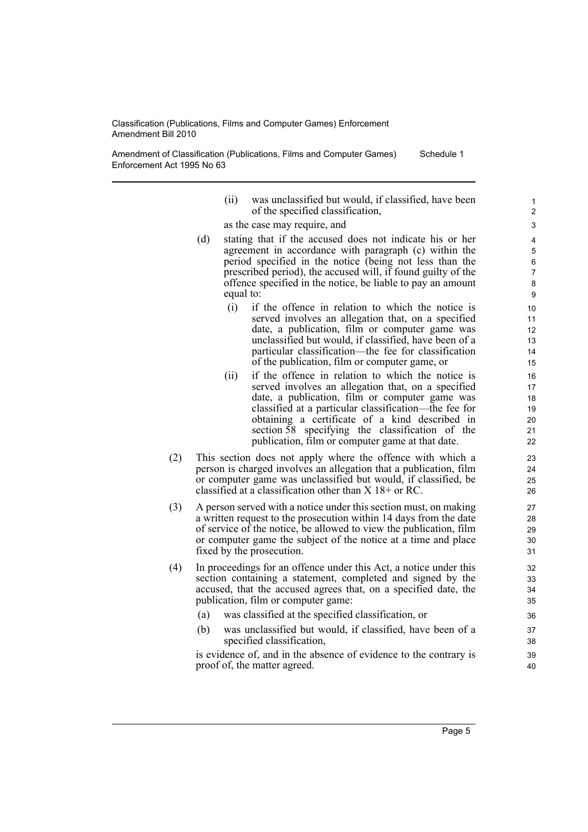Amendment of Classification (Publications, Films and Computer Games) Enforcement Act 1995 No 63 Schedule 1

- (ii) was unclassified but would, if classified, have been of the specified classification,
- as the case may require, and
- (d) stating that if the accused does not indicate his or her agreement in accordance with paragraph (c) within the period specified in the notice (being not less than the prescribed period), the accused will, if found guilty of the offence specified in the notice, be liable to pay an amount equal to:
	- (i) if the offence in relation to which the notice is served involves an allegation that, on a specified date, a publication, film or computer game was unclassified but would, if classified, have been of a particular classification—the fee for classification of the publication, film or computer game, or
	- (ii) if the offence in relation to which the notice is served involves an allegation that, on a specified date, a publication, film or computer game was classified at a particular classification—the fee for obtaining a certificate of a kind described in section 58 specifying the classification of the publication, film or computer game at that date.
- (2) This section does not apply where the offence with which a person is charged involves an allegation that a publication, film or computer game was unclassified but would, if classified, be classified at a classification other than X 18+ or RC.
- (3) A person served with a notice under this section must, on making a written request to the prosecution within 14 days from the date of service of the notice, be allowed to view the publication, film or computer game the subject of the notice at a time and place fixed by the prosecution.
- (4) In proceedings for an offence under this Act, a notice under this section containing a statement, completed and signed by the accused, that the accused agrees that, on a specified date, the publication, film or computer game:
	- (a) was classified at the specified classification, or
	- (b) was unclassified but would, if classified, have been of a specified classification,

is evidence of, and in the absence of evidence to the contrary is proof of, the matter agreed.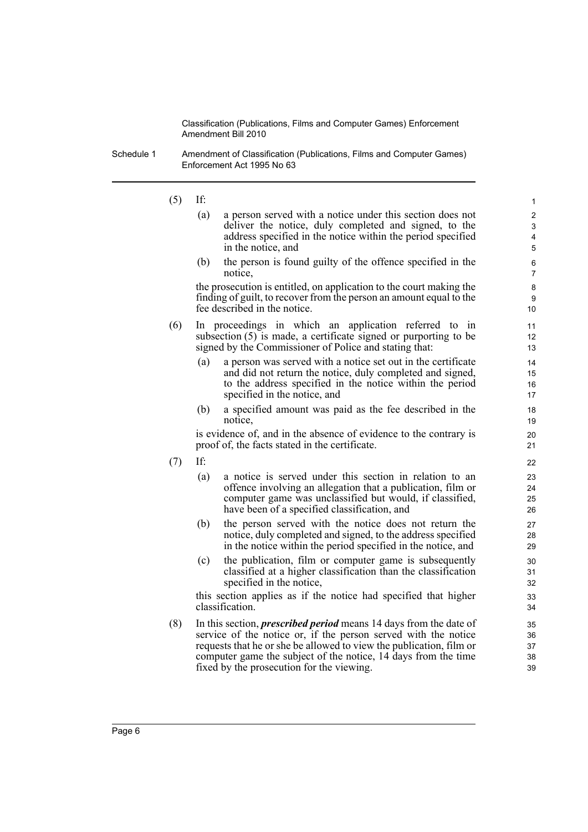Schedule 1 Amendment of Classification (Publications, Films and Computer Games) Enforcement Act 1995 No 63

(5) If:

(a) a person served with a notice under this section does not deliver the notice, duly completed and signed, to the address specified in the notice within the period specified in the notice, and

(b) the person is found guilty of the offence specified in the notice,

the prosecution is entitled, on application to the court making the finding of guilt, to recover from the person an amount equal to the fee described in the notice.

- (6) In proceedings in which an application referred to in subsection (5) is made, a certificate signed or purporting to be signed by the Commissioner of Police and stating that:
	- (a) a person was served with a notice set out in the certificate and did not return the notice, duly completed and signed, to the address specified in the notice within the period specified in the notice, and
	- (b) a specified amount was paid as the fee described in the notice,

is evidence of, and in the absence of evidence to the contrary is proof of, the facts stated in the certificate.

- (7) If:
	- (a) a notice is served under this section in relation to an offence involving an allegation that a publication, film or computer game was unclassified but would, if classified, have been of a specified classification, and
	- (b) the person served with the notice does not return the notice, duly completed and signed, to the address specified in the notice within the period specified in the notice, and
	- (c) the publication, film or computer game is subsequently classified at a higher classification than the classification specified in the notice,

this section applies as if the notice had specified that higher classification.

(8) In this section, *prescribed period* means 14 days from the date of service of the notice or, if the person served with the notice requests that he or she be allowed to view the publication, film or computer game the subject of the notice, 14 days from the time fixed by the prosecution for the viewing.